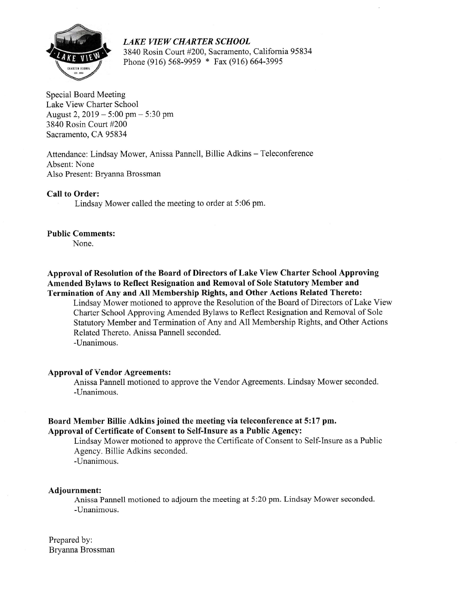

LAKE WEW CHARTER SCHOOL 3840 Rosin Court #200, Sacramento, California 95834 Phone (916) 568-9959 \* Fax (916) 664-3995

Special Board Meeting Lake View Charter School August 2,2019 - 5:00 pm - 5:30 pm 3840 Rosin Court #200 Sacramento, CA 95834

Attendance: Lindsay Mower, Anissa Pannell, Billie Adkins - Teleconference Absent: None Also Present: Bryanna Brossman

Call to Order:

Lindsay Mower called the meeting to order at 5:06 pm.

## Public Comments:

None.

Approval of Resolution of the Board of Directors of Lake View Charter School Approving Amended Bylaws to Reflect Resignation and Removal of Sole Statutory Member and Termination of Any and AII Membership Rights, and Other Actions Related Thereto:

Lindsay Mower motioned to approve the Resolution of the Board of Directors of Lake View Charter School Approving Amended Bylaws to Reflect Resignation and Removal of Sole Statutory Member and Termination of Any and A1l Membership Rights, and Other Actions Related Thereto. Anissa Pannell seconded.

-Unanimous.

## Approval of Vendor Agreements:

Anissa Pannell motioned to approve the Vendor Agreements. Lindsay Mower seconded. -Unanimous.

## Board Member Billie Adkins joined the meeting via teleconference at 5:17 pm. Approval of Certificate of Consent to Self-Insure as a Public Agency:

Lindsay Mower motioned to approve the Certificate of Consent to Self-Lrsure as a Public Agency. Billie Adkins seconded.

-Unanimous.

## Adjournment:

Anissa Pannell motioned to adjourn the meeting at 5:20 pm. Lindsay Mower seconded. -IJnanimous.

Prepared by: Bryanna Brossman